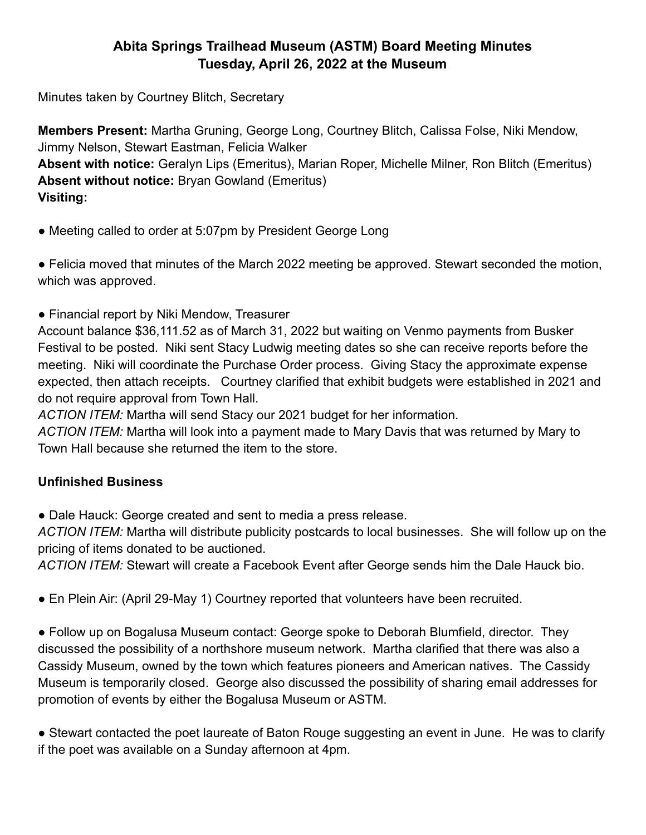## **Abita Springs Trailhead Museum (ASTM) Board Meeting Minutes Tuesday, April 26, 2022 at the Museum**

Minutes taken by Courtney Blitch, Secretary

**Members Present:** Martha Gruning, George Long, Courtney Blitch, Calissa Folse, Niki Mendow, Jimmy Nelson, Stewart Eastman, Felicia Walker **Absent with notice:** Geralyn Lips (Emeritus), Marian Roper, Michelle Milner, Ron Blitch (Emeritus) **Absent without notice:** Bryan Gowland (Emeritus) **Visiting:**

• Meeting called to order at 5:07pm by President George Long

● Felicia moved that minutes of the March 2022 meeting be approved. Stewart seconded the motion, which was approved.

• Financial report by Niki Mendow, Treasurer

Account balance \$36,111.52 as of March 31, 2022 but waiting on Venmo payments from Busker Festival to be posted. Niki sent Stacy Ludwig meeting dates so she can receive reports before the meeting. Niki will coordinate the Purchase Order process. Giving Stacy the approximate expense expected, then attach receipts. Courtney clarified that exhibit budgets were established in 2021 and do not require approval from Town Hall.

*ACTION ITEM:* Martha will send Stacy our 2021 budget for her information.

*ACTION ITEM:* Martha will look into a payment made to Mary Davis that was returned by Mary to Town Hall because she returned the item to the store.

## **Unfinished Business**

● Dale Hauck: George created and sent to media a press release.

*ACTION ITEM:* Martha will distribute publicity postcards to local businesses. She will follow up on the pricing of items donated to be auctioned.

*ACTION ITEM:* Stewart will create a Facebook Event after George sends him the Dale Hauck bio.

● En Plein Air: (April 29-May 1) Courtney reported that volunteers have been recruited.

● Follow up on Bogalusa Museum contact: George spoke to Deborah Blumfield, director. They discussed the possibility of a northshore museum network. Martha clarified that there was also a Cassidy Museum, owned by the town which features pioneers and American natives. The Cassidy Museum is temporarily closed. George also discussed the possibility of sharing email addresses for promotion of events by either the Bogalusa Museum or ASTM.

● Stewart contacted the poet laureate of Baton Rouge suggesting an event in June. He was to clarify if the poet was available on a Sunday afternoon at 4pm.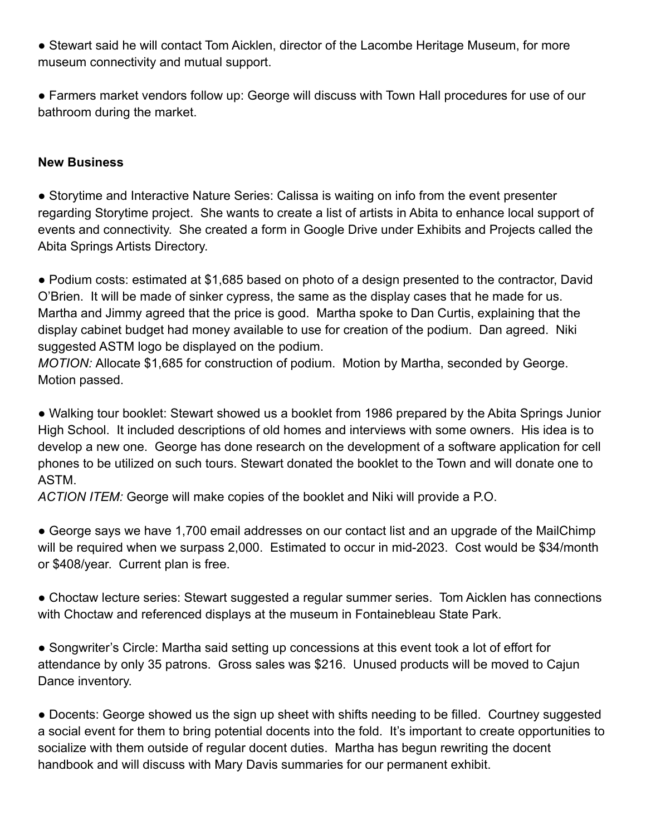● Stewart said he will contact Tom Aicklen, director of the Lacombe Heritage Museum, for more museum connectivity and mutual support.

● Farmers market vendors follow up: George will discuss with Town Hall procedures for use of our bathroom during the market.

## **New Business**

• Storytime and Interactive Nature Series: Calissa is waiting on info from the event presenter regarding Storytime project. She wants to create a list of artists in Abita to enhance local support of events and connectivity. She created a form in Google Drive under Exhibits and Projects called the Abita Springs Artists Directory.

● Podium costs: estimated at \$1,685 based on photo of a design presented to the contractor, David O'Brien. It will be made of sinker cypress, the same as the display cases that he made for us. Martha and Jimmy agreed that the price is good. Martha spoke to Dan Curtis, explaining that the display cabinet budget had money available to use for creation of the podium. Dan agreed. Niki suggested ASTM logo be displayed on the podium.

*MOTION:* Allocate \$1,685 for construction of podium. Motion by Martha, seconded by George. Motion passed.

● Walking tour booklet: Stewart showed us a booklet from 1986 prepared by the Abita Springs Junior High School. It included descriptions of old homes and interviews with some owners. His idea is to develop a new one. George has done research on the development of a software application for cell phones to be utilized on such tours. Stewart donated the booklet to the Town and will donate one to ASTM.

*ACTION ITEM:* George will make copies of the booklet and Niki will provide a P.O.

● George says we have 1,700 email addresses on our contact list and an upgrade of the MailChimp will be required when we surpass 2,000. Estimated to occur in mid-2023. Cost would be \$34/month or \$408/year. Current plan is free.

• Choctaw lecture series: Stewart suggested a regular summer series. Tom Aicklen has connections with Choctaw and referenced displays at the museum in Fontainebleau State Park.

● Songwriter's Circle: Martha said setting up concessions at this event took a lot of effort for attendance by only 35 patrons. Gross sales was \$216. Unused products will be moved to Cajun Dance inventory.

● Docents: George showed us the sign up sheet with shifts needing to be filled. Courtney suggested a social event for them to bring potential docents into the fold. It's important to create opportunities to socialize with them outside of regular docent duties. Martha has begun rewriting the docent handbook and will discuss with Mary Davis summaries for our permanent exhibit.